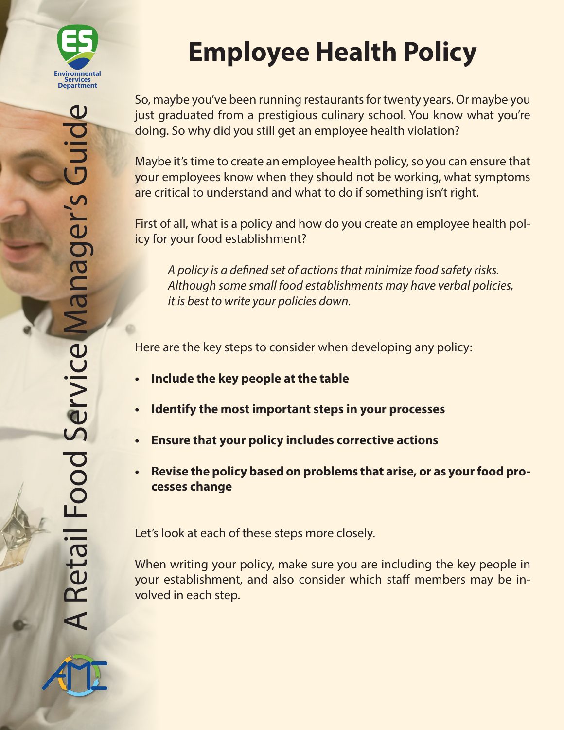

So, maybe you've been running restaurants for twenty years. Or maybe you just graduated from a prestigious culinary school. You know what you're doing. So why did you still get an employee health violation?

Maybe it's time to create an employee health policy, so you can ensure that your employees know when they should not be working, what symptoms are critical to understand and what to do if something isn't right.

First of all, what is a policy and how do you create an employee health policy for your food establishment?

*A policy is a defined set of actions that minimize food safety risks. Although some small food establishments may have verbal policies, it is best to write your policies down.*

Here are the key steps to consider when developing any policy:

- **• Include the key people at the table**
- **• Identify the most important steps in your processes**
- **• Ensure that your policy includes corrective actions**
- **• Revise the policy based on problems that arise, or as your food processes change**

Let's look at each of these steps more closely.

When writing your policy, make sure you are including the key people in your establishment, and also consider which staff members may be involved in each step.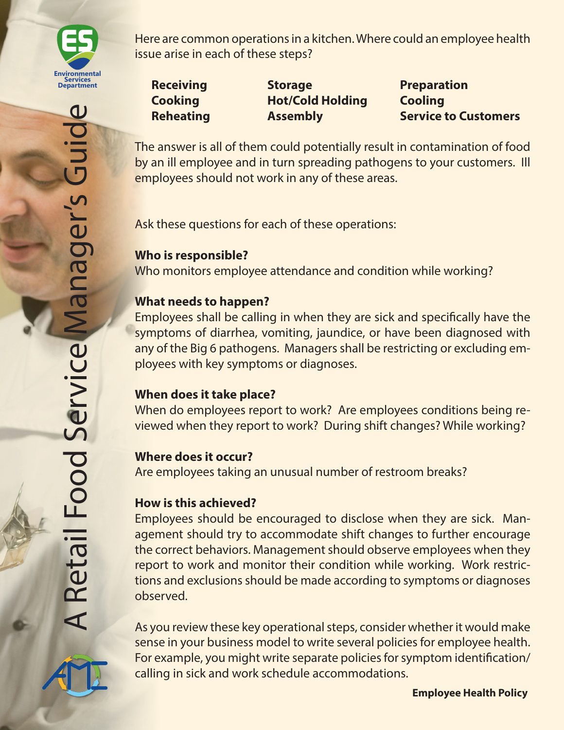

**Receiving Storage Preparation Cooking Hot/Cold Holding Cooling**

**Reheating Massembly Assembly Service to Customers** 

The answer is all of them could potentially result in contamination of food by an ill employee and in turn spreading pathogens to your customers. Ill employees should not work in any of these areas.

Ask these questions for each of these operations:

# **Who is responsible?**

Who monitors employee attendance and condition while working?

### **What needs to happen?**

Employees shall be calling in when they are sick and specifically have the symptoms of diarrhea, vomiting, jaundice, or have been diagnosed with any of the Big 6 pathogens. Managers shall be restricting or excluding employees with key symptoms or diagnoses.

# **When does it take place?**

When do employees report to work? Are employees conditions being reviewed when they report to work? During shift changes? While working?

## **Where does it occur?**

Are employees taking an unusual number of restroom breaks?

## **How is this achieved?**

Employees should be encouraged to disclose when they are sick. Management should try to accommodate shift changes to further encourage the correct behaviors. Management should observe employees when they report to work and monitor their condition while working. Work restrictions and exclusions should be made according to symptoms or diagnoses observed.

As you review these key operational steps, consider whether it would make sense in your business model to write several policies for employee health. For example, you might write separate policies for symptom identification/ calling in sick and work schedule accommodations.